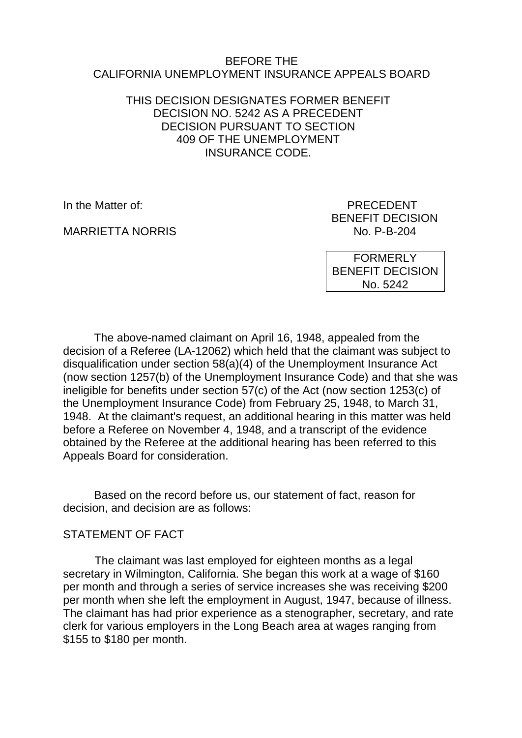#### BEFORE THE CALIFORNIA UNEMPLOYMENT INSURANCE APPEALS BOARD

### THIS DECISION DESIGNATES FORMER BENEFIT DECISION NO. 5242 AS A PRECEDENT DECISION PURSUANT TO SECTION 409 OF THE UNEMPLOYMENT INSURANCE CODE.

MARRIETTA NORRIS NO. P-B-204

In the Matter of: **PRECEDENT** BENEFIT DECISION

> FORMERLY BENEFIT DECISION No. 5242

The above-named claimant on April 16, 1948, appealed from the decision of a Referee (LA-12062) which held that the claimant was subject to disqualification under section 58(a)(4) of the Unemployment Insurance Act (now section 1257(b) of the Unemployment Insurance Code) and that she was ineligible for benefits under section 57(c) of the Act (now section 1253(c) of the Unemployment Insurance Code) from February 25, 1948, to March 31, 1948. At the claimant's request, an additional hearing in this matter was held before a Referee on November 4, 1948, and a transcript of the evidence obtained by the Referee at the additional hearing has been referred to this Appeals Board for consideration.

Based on the record before us, our statement of fact, reason for decision, and decision are as follows:

### STATEMENT OF FACT

The claimant was last employed for eighteen months as a legal secretary in Wilmington, California. She began this work at a wage of \$160 per month and through a series of service increases she was receiving \$200 per month when she left the employment in August, 1947, because of illness. The claimant has had prior experience as a stenographer, secretary, and rate clerk for various employers in the Long Beach area at wages ranging from \$155 to \$180 per month.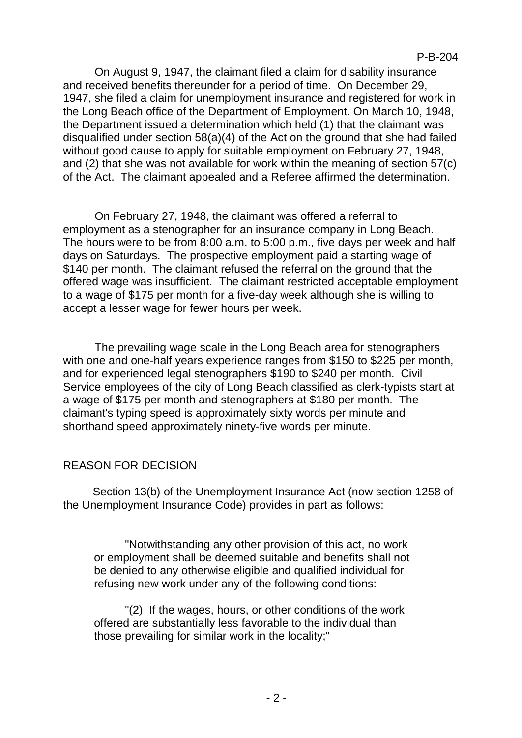On August 9, 1947, the claimant filed a claim for disability insurance and received benefits thereunder for a period of time. On December 29, 1947, she filed a claim for unemployment insurance and registered for work in the Long Beach office of the Department of Employment. On March 10, 1948, the Department issued a determination which held (1) that the claimant was disqualified under section 58(a)(4) of the Act on the ground that she had failed without good cause to apply for suitable employment on February 27, 1948, and (2) that she was not available for work within the meaning of section 57(c) of the Act. The claimant appealed and a Referee affirmed the determination.

On February 27, 1948, the claimant was offered a referral to employment as a stenographer for an insurance company in Long Beach. The hours were to be from 8:00 a.m. to 5:00 p.m., five days per week and half days on Saturdays. The prospective employment paid a starting wage of \$140 per month. The claimant refused the referral on the ground that the offered wage was insufficient. The claimant restricted acceptable employment to a wage of \$175 per month for a five-day week although she is willing to accept a lesser wage for fewer hours per week.

The prevailing wage scale in the Long Beach area for stenographers with one and one-half years experience ranges from \$150 to \$225 per month, and for experienced legal stenographers \$190 to \$240 per month. Civil Service employees of the city of Long Beach classified as clerk-typists start at a wage of \$175 per month and stenographers at \$180 per month. The claimant's typing speed is approximately sixty words per minute and shorthand speed approximately ninety-five words per minute.

## REASON FOR DECISION

Section 13(b) of the Unemployment Insurance Act (now section 1258 of the Unemployment Insurance Code) provides in part as follows:

"Notwithstanding any other provision of this act, no work or employment shall be deemed suitable and benefits shall not be denied to any otherwise eligible and qualified individual for refusing new work under any of the following conditions:

"(2) If the wages, hours, or other conditions of the work offered are substantially less favorable to the individual than those prevailing for similar work in the locality;"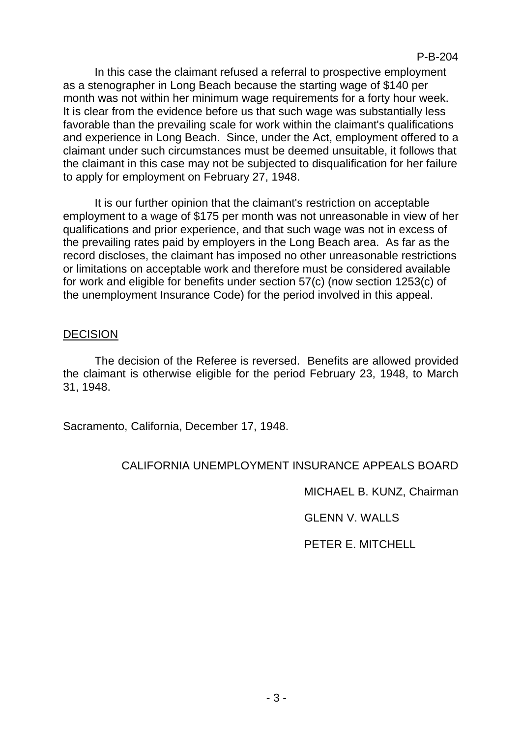In this case the claimant refused a referral to prospective employment as a stenographer in Long Beach because the starting wage of \$140 per month was not within her minimum wage requirements for a forty hour week. It is clear from the evidence before us that such wage was substantially less favorable than the prevailing scale for work within the claimant's qualifications and experience in Long Beach. Since, under the Act, employment offered to a claimant under such circumstances must be deemed unsuitable, it follows that the claimant in this case may not be subjected to disqualification for her failure to apply for employment on February 27, 1948.

It is our further opinion that the claimant's restriction on acceptable employment to a wage of \$175 per month was not unreasonable in view of her qualifications and prior experience, and that such wage was not in excess of the prevailing rates paid by employers in the Long Beach area. As far as the record discloses, the claimant has imposed no other unreasonable restrictions or limitations on acceptable work and therefore must be considered available for work and eligible for benefits under section 57(c) (now section 1253(c) of the unemployment Insurance Code) for the period involved in this appeal.

## **DECISION**

The decision of the Referee is reversed. Benefits are allowed provided the claimant is otherwise eligible for the period February 23, 1948, to March 31, 1948.

Sacramento, California, December 17, 1948.

## CALIFORNIA UNEMPLOYMENT INSURANCE APPEALS BOARD

MICHAEL B. KUNZ, Chairman

GLENN V. WALLS

PETER E. MITCHELL